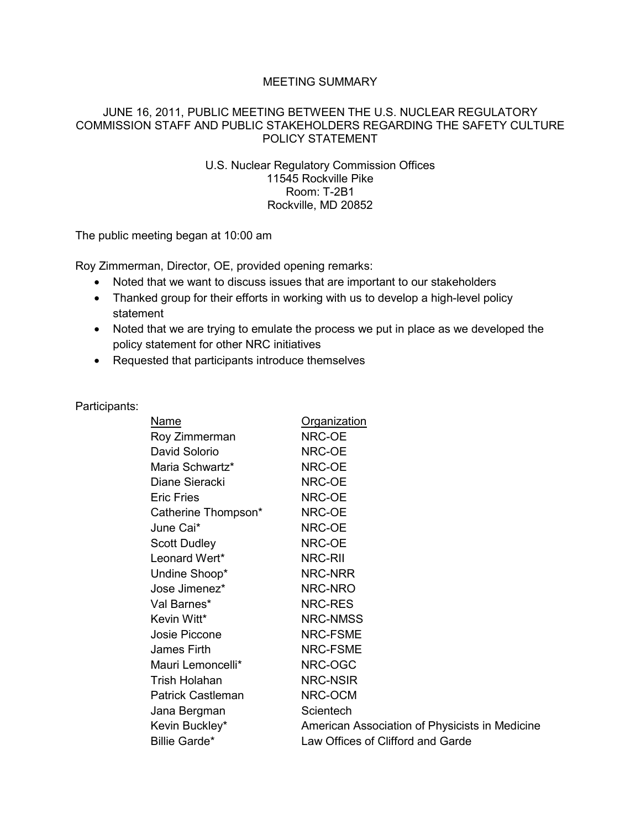## MEETING SUMMARY

## JUNE 16, 2011, PUBLIC MEETING BETWEEN THE U.S. NUCLEAR REGULATORY COMMISSION STAFF AND PUBLIC STAKEHOLDERS REGARDING THE SAFETY CULTURE POLICY STATEMENT

## U.S. Nuclear Regulatory Commission Offices 11545 Rockville Pike Room: T-2B1 Rockville, MD 20852

The public meeting began at 10:00 am

Roy Zimmerman, Director, OE, provided opening remarks:

- Noted that we want to discuss issues that are important to our stakeholders
- Thanked group for their efforts in working with us to develop a high-level policy statement
- Noted that we are trying to emulate the process we put in place as we developed the policy statement for other NRC initiatives
- Requested that participants introduce themselves

| Participants: |                          |                                                |
|---------------|--------------------------|------------------------------------------------|
|               | Name                     | <b>Organization</b>                            |
|               | Roy Zimmerman            | NRC-OE                                         |
|               | David Solorio            | NRC-OE                                         |
|               | Maria Schwartz*          | NRC-OE                                         |
|               | Diane Sieracki           | NRC-OE                                         |
|               | <b>Eric Fries</b>        | NRC-OE                                         |
|               | Catherine Thompson*      | NRC-OE                                         |
|               | June Cai*                | NRC-OE                                         |
|               | <b>Scott Dudley</b>      | NRC-OE                                         |
|               | Leonard Wert*            | NRC-RII                                        |
|               | Undine Shoop*            | NRC-NRR                                        |
|               | Jose Jimenez*            | NRC-NRO                                        |
|               | Val Barnes*              | NRC-RES                                        |
|               | Kevin Witt*              | NRC-NMSS                                       |
|               | Josie Piccone            | NRC-FSME                                       |
|               | James Firth              | NRC-FSME                                       |
|               | Mauri Lemoncelli*        | NRC-OGC                                        |
|               | Trish Holahan            | <b>NRC-NSIR</b>                                |
|               | <b>Patrick Castleman</b> | NRC-OCM                                        |
|               | Jana Bergman             | Scientech                                      |
|               | Kevin Buckley*           | American Association of Physicists in Medicine |
|               | <b>Billie Garde*</b>     | Law Offices of Clifford and Garde              |
|               |                          |                                                |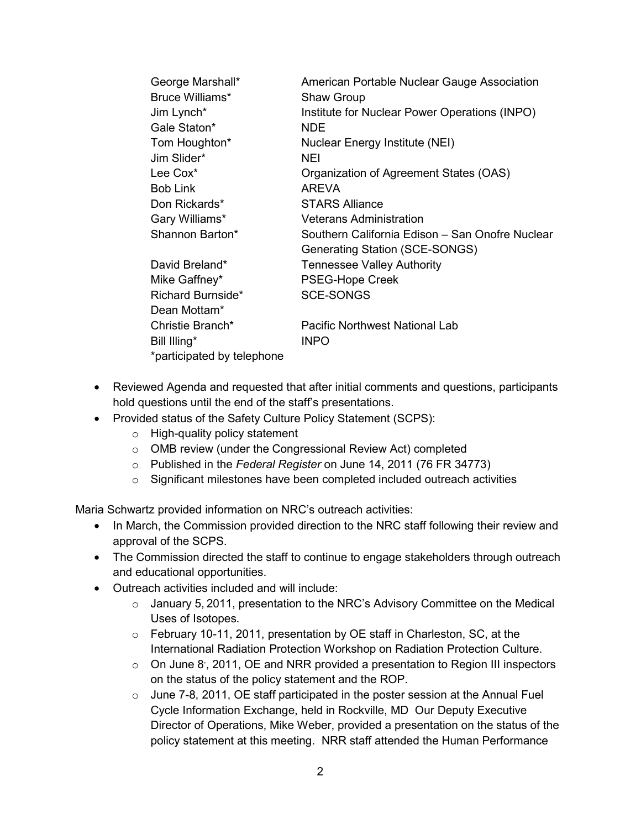| George Marshall*           | American Portable Nuclear Gauge Association     |
|----------------------------|-------------------------------------------------|
| Bruce Williams*            | <b>Shaw Group</b>                               |
| Jim Lynch*                 | Institute for Nuclear Power Operations (INPO)   |
| Gale Staton*               | NDE.                                            |
| Tom Houghton*              | <b>Nuclear Energy Institute (NEI)</b>           |
| Jim Slider*                | NEI                                             |
| Lee Cox <sup>*</sup>       | Organization of Agreement States (OAS)          |
| <b>Bob Link</b>            | AREVA                                           |
| Don Rickards*              | <b>STARS Alliance</b>                           |
| Gary Williams*             | <b>Veterans Administration</b>                  |
| Shannon Barton*            | Southern California Edison - San Onofre Nuclear |
|                            | Generating Station (SCE-SONGS)                  |
| David Breland*             | <b>Tennessee Valley Authority</b>               |
| Mike Gaffney*              | PSEG-Hope Creek                                 |
| Richard Burnside*          | <b>SCE-SONGS</b>                                |
| Dean Mottam*               |                                                 |
| Christie Branch*           | Pacific Northwest National Lab                  |
| Bill Illing*               | <b>INPO</b>                                     |
| *participated by telephone |                                                 |

- Reviewed Agenda and requested that after initial comments and questions, participants hold questions until the end of the staff's presentations.
- Provided status of the Safety Culture Policy Statement (SCPS):
	- o High-quality policy statement
	- o OMB review (under the Congressional Review Act) completed
	- o Published in the *Federal Register* on June 14, 2011 (76 FR 34773)
	- o Significant milestones have been completed included outreach activities

Maria Schwartz provided information on NRC's outreach activities:

- In March, the Commission provided direction to the NRC staff following their review and approval of the SCPS.
- The Commission directed the staff to continue to engage stakeholders through outreach and educational opportunities.
- Outreach activities included and will include:
	- o January 5, 2011, presentation to the NRC's Advisory Committee on the Medical Uses of Isotopes.
	- o February 10-11, 2011, presentation by OE staff in Charleston, SC, at the International Radiation Protection Workshop on Radiation Protection Culture.
	- $\circ$  On June 8<sup>'</sup>, 2011, OE and NRR provided a presentation to Region III inspectors on the status of the policy statement and the ROP.
	- o June 7-8, 2011, OE staff participated in the poster session at the Annual Fuel Cycle Information Exchange, held in Rockville, MD Our Deputy Executive Director of Operations, Mike Weber, provided a presentation on the status of the policy statement at this meeting. NRR staff attended the Human Performance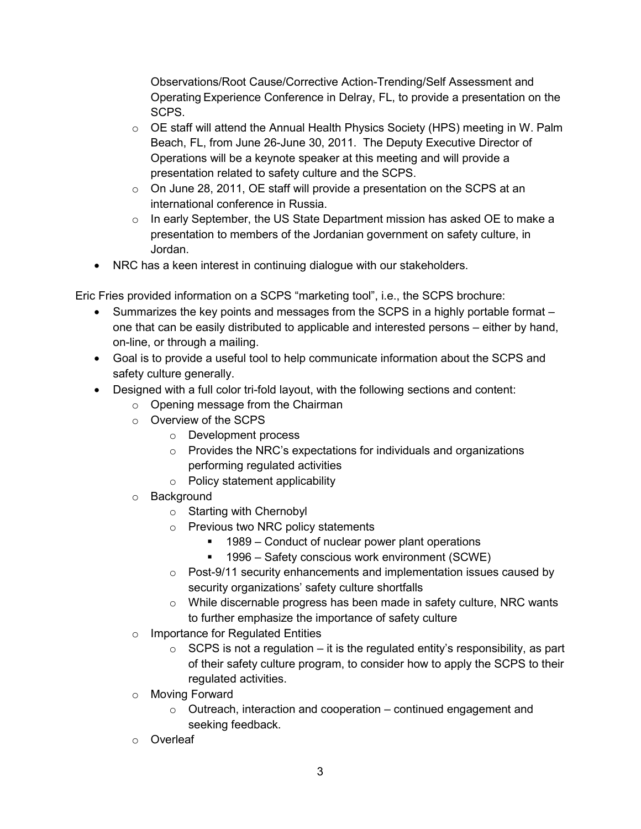Observations/Root Cause/Corrective Action-Trending/Self Assessment and Operating Experience Conference in Delray, FL, to provide a presentation on the SCPS.

- $\circ$  OE staff will attend the Annual Health Physics Society (HPS) meeting in W. Palm Beach, FL, from June 26-June 30, 2011. The Deputy Executive Director of Operations will be a keynote speaker at this meeting and will provide a presentation related to safety culture and the SCPS.
- $\circ$  On June 28, 2011, OE staff will provide a presentation on the SCPS at an international conference in Russia.
- o In early September, the US State Department mission has asked OE to make a presentation to members of the Jordanian government on safety culture, in Jordan.
- NRC has a keen interest in continuing dialogue with our stakeholders.

Eric Fries provided information on a SCPS "marketing tool", i.e., the SCPS brochure:

- Summarizes the key points and messages from the SCPS in a highly portable format one that can be easily distributed to applicable and interested persons – either by hand, on-line, or through a mailing.
- Goal is to provide a useful tool to help communicate information about the SCPS and safety culture generally.
- Designed with a full color tri-fold layout, with the following sections and content:
	- o Opening message from the Chairman
	- o Overview of the SCPS
		- o Development process
		- o Provides the NRC's expectations for individuals and organizations performing regulated activities
		- o Policy statement applicability
	- o Background
		- o Starting with Chernobyl
		- o Previous two NRC policy statements
			- 1989 Conduct of nuclear power plant operations
			- 1996 Safety conscious work environment (SCWE)
		- o Post-9/11 security enhancements and implementation issues caused by security organizations' safety culture shortfalls
		- o While discernable progress has been made in safety culture, NRC wants to further emphasize the importance of safety culture
	- o Importance for Regulated Entities
		- $\circ$  SCPS is not a regulation it is the regulated entity's responsibility, as part of their safety culture program, to consider how to apply the SCPS to their regulated activities.
	- o Moving Forward
		- $\circ$  Outreach, interaction and cooperation continued engagement and seeking feedback.
	- o Overleaf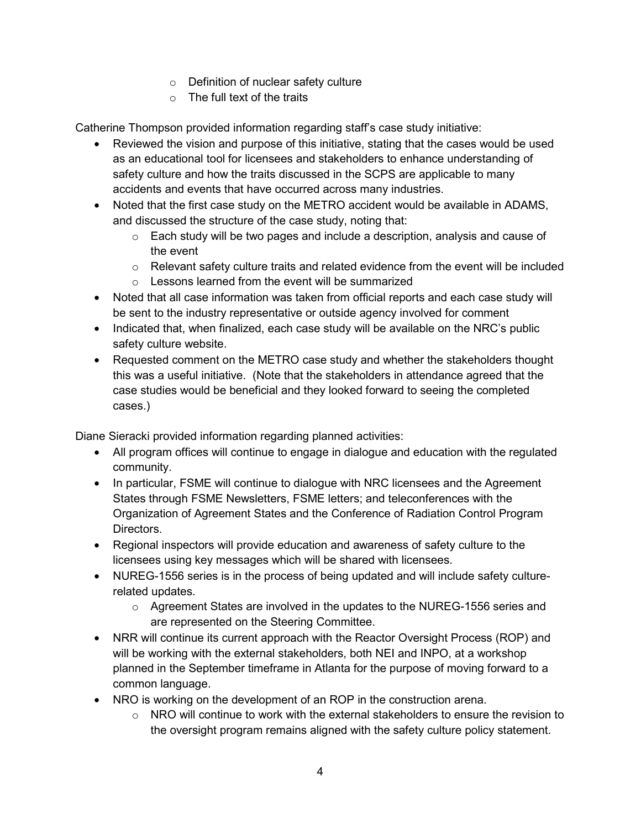- o Definition of nuclear safety culture
- $\circ$  The full text of the traits

Catherine Thompson provided information regarding staff's case study initiative:

- Reviewed the vision and purpose of this initiative, stating that the cases would be used as an educational tool for licensees and stakeholders to enhance understanding of safety culture and how the traits discussed in the SCPS are applicable to many accidents and events that have occurred across many industries.
- Noted that the first case study on the METRO accident would be available in ADAMS, and discussed the structure of the case study, noting that:
	- $\circ$  Each study will be two pages and include a description, analysis and cause of the event
	- $\circ$  Relevant safety culture traits and related evidence from the event will be included
	- o Lessons learned from the event will be summarized
- Noted that all case information was taken from official reports and each case study will be sent to the industry representative or outside agency involved for comment
- Indicated that, when finalized, each case study will be available on the NRC's public safety culture website.
- Requested comment on the METRO case study and whether the stakeholders thought this was a useful initiative. (Note that the stakeholders in attendance agreed that the case studies would be beneficial and they looked forward to seeing the completed cases.)

Diane Sieracki provided information regarding planned activities:

- All program offices will continue to engage in dialogue and education with the regulated community.
- In particular, FSME will continue to dialogue with NRC licensees and the Agreement States through FSME Newsletters, FSME letters; and teleconferences with the Organization of Agreement States and the Conference of Radiation Control Program Directors.
- Regional inspectors will provide education and awareness of safety culture to the licensees using key messages which will be shared with licensees.
- NUREG-1556 series is in the process of being updated and will include safety culturerelated updates.
	- $\circ$  Agreement States are involved in the updates to the NUREG-1556 series and are represented on the Steering Committee.
- NRR will continue its current approach with the Reactor Oversight Process (ROP) and will be working with the external stakeholders, both NEI and INPO, at a workshop planned in the September timeframe in Atlanta for the purpose of moving forward to a common language.
- NRO is working on the development of an ROP in the construction arena.
	- $\circ$  NRO will continue to work with the external stakeholders to ensure the revision to the oversight program remains aligned with the safety culture policy statement.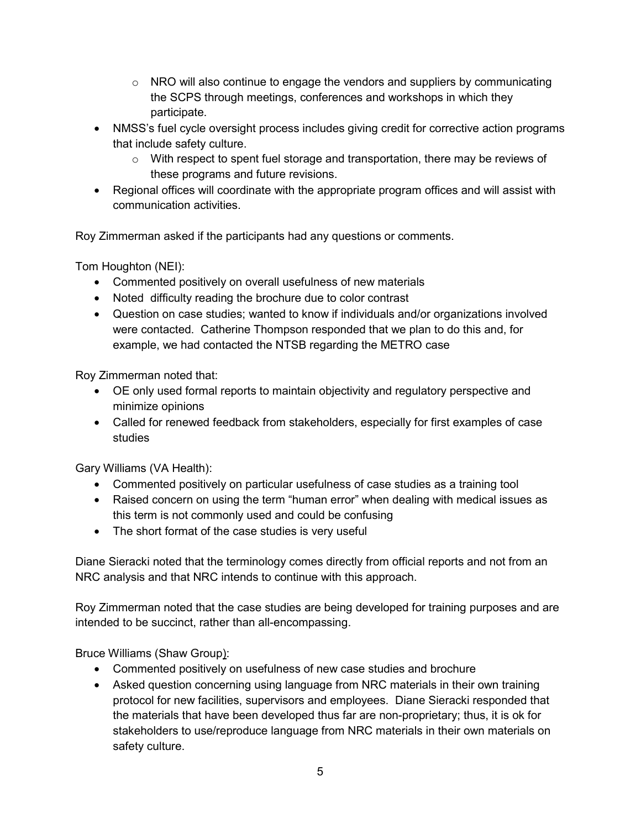- $\circ$  NRO will also continue to engage the vendors and suppliers by communicating the SCPS through meetings, conferences and workshops in which they participate.
- NMSS's fuel cycle oversight process includes giving credit for corrective action programs that include safety culture.
	- $\circ$  With respect to spent fuel storage and transportation, there may be reviews of these programs and future revisions.
- Regional offices will coordinate with the appropriate program offices and will assist with communication activities.

Roy Zimmerman asked if the participants had any questions or comments.

Tom Houghton (NEI):

- Commented positively on overall usefulness of new materials
- Noted difficulty reading the brochure due to color contrast
- Question on case studies; wanted to know if individuals and/or organizations involved were contacted. Catherine Thompson responded that we plan to do this and, for example, we had contacted the NTSB regarding the METRO case

Roy Zimmerman noted that:

- OE only used formal reports to maintain objectivity and regulatory perspective and minimize opinions
- Called for renewed feedback from stakeholders, especially for first examples of case studies

Gary Williams (VA Health):

- Commented positively on particular usefulness of case studies as a training tool
- Raised concern on using the term "human error" when dealing with medical issues as this term is not commonly used and could be confusing
- The short format of the case studies is very useful

Diane Sieracki noted that the terminology comes directly from official reports and not from an NRC analysis and that NRC intends to continue with this approach.

Roy Zimmerman noted that the case studies are being developed for training purposes and are intended to be succinct, rather than all-encompassing.

Bruce Williams (Shaw Group):

- Commented positively on usefulness of new case studies and brochure
- Asked question concerning using language from NRC materials in their own training protocol for new facilities, supervisors and employees. Diane Sieracki responded that the materials that have been developed thus far are non-proprietary; thus, it is ok for stakeholders to use/reproduce language from NRC materials in their own materials on safety culture.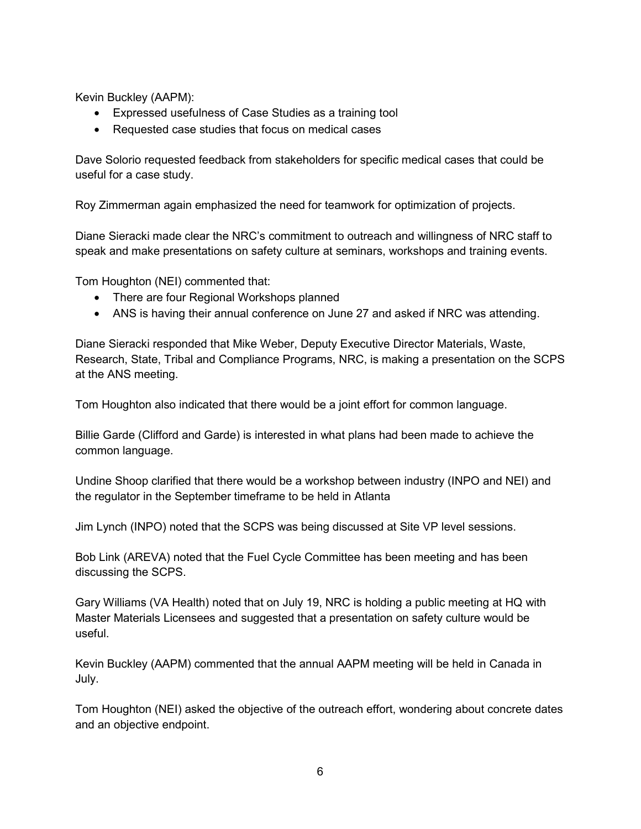Kevin Buckley (AAPM):

- Expressed usefulness of Case Studies as a training tool
- Requested case studies that focus on medical cases

Dave Solorio requested feedback from stakeholders for specific medical cases that could be useful for a case study.

Roy Zimmerman again emphasized the need for teamwork for optimization of projects.

Diane Sieracki made clear the NRC's commitment to outreach and willingness of NRC staff to speak and make presentations on safety culture at seminars, workshops and training events.

Tom Houghton (NEI) commented that:

- There are four Regional Workshops planned
- ANS is having their annual conference on June 27 and asked if NRC was attending.

Diane Sieracki responded that Mike Weber, Deputy Executive Director Materials, Waste, Research, State, Tribal and Compliance Programs, NRC, is making a presentation on the SCPS at the ANS meeting.

Tom Houghton also indicated that there would be a joint effort for common language.

Billie Garde (Clifford and Garde) is interested in what plans had been made to achieve the common language.

Undine Shoop clarified that there would be a workshop between industry (INPO and NEI) and the regulator in the September timeframe to be held in Atlanta

Jim Lynch (INPO) noted that the SCPS was being discussed at Site VP level sessions.

Bob Link (AREVA) noted that the Fuel Cycle Committee has been meeting and has been discussing the SCPS.

Gary Williams (VA Health) noted that on July 19, NRC is holding a public meeting at HQ with Master Materials Licensees and suggested that a presentation on safety culture would be useful.

Kevin Buckley (AAPM) commented that the annual AAPM meeting will be held in Canada in July.

Tom Houghton (NEI) asked the objective of the outreach effort, wondering about concrete dates and an objective endpoint.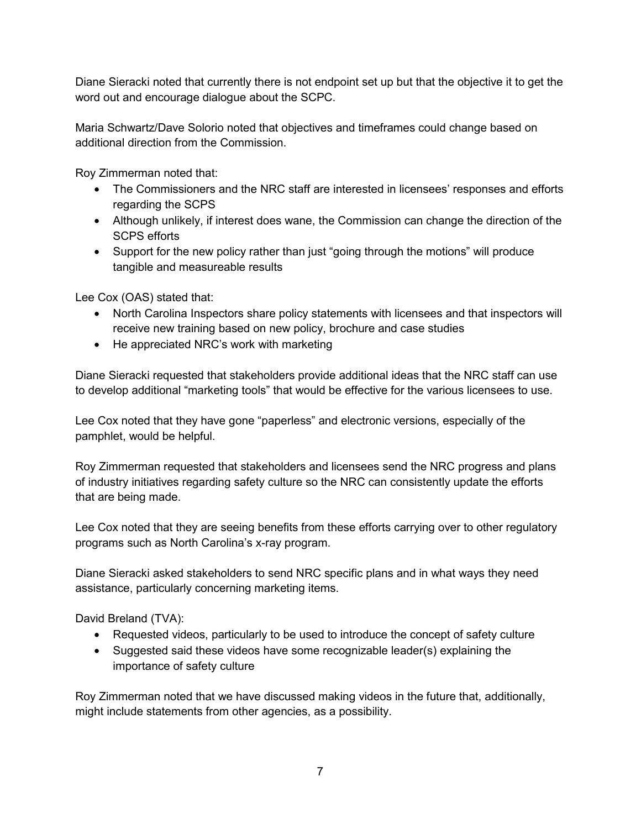Diane Sieracki noted that currently there is not endpoint set up but that the objective it to get the word out and encourage dialogue about the SCPC.

Maria Schwartz/Dave Solorio noted that objectives and timeframes could change based on additional direction from the Commission.

Roy Zimmerman noted that:

- The Commissioners and the NRC staff are interested in licensees' responses and efforts regarding the SCPS
- Although unlikely, if interest does wane, the Commission can change the direction of the SCPS efforts
- Support for the new policy rather than just "going through the motions" will produce tangible and measureable results

Lee Cox (OAS) stated that:

- North Carolina Inspectors share policy statements with licensees and that inspectors will receive new training based on new policy, brochure and case studies
- He appreciated NRC's work with marketing

Diane Sieracki requested that stakeholders provide additional ideas that the NRC staff can use to develop additional "marketing tools" that would be effective for the various licensees to use.

Lee Cox noted that they have gone "paperless" and electronic versions, especially of the pamphlet, would be helpful.

Roy Zimmerman requested that stakeholders and licensees send the NRC progress and plans of industry initiatives regarding safety culture so the NRC can consistently update the efforts that are being made.

Lee Cox noted that they are seeing benefits from these efforts carrying over to other regulatory programs such as North Carolina's x-ray program.

Diane Sieracki asked stakeholders to send NRC specific plans and in what ways they need assistance, particularly concerning marketing items.

David Breland (TVA):

- Requested videos, particularly to be used to introduce the concept of safety culture
- Suggested said these videos have some recognizable leader(s) explaining the importance of safety culture

Roy Zimmerman noted that we have discussed making videos in the future that, additionally, might include statements from other agencies, as a possibility.